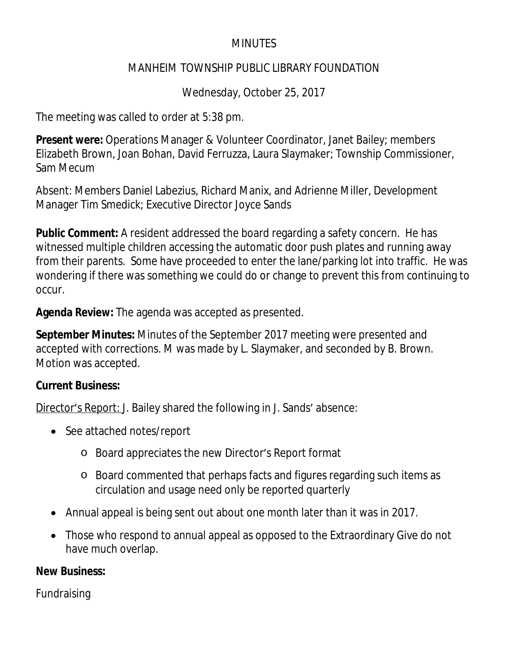### **MINUTES**

#### MANHEIM TOWNSHIP PUBLIC LIBRARY FOUNDATION

Wednesday, October 25, 2017

The meeting was called to order at 5:38 pm.

**Present were:** Operations Manager & Volunteer Coordinator, Janet Bailey; members Elizabeth Brown, Joan Bohan, David Ferruzza, Laura Slaymaker; Township Commissioner, Sam Mecum

Absent: Members Daniel Labezius, Richard Manix, and Adrienne Miller, Development Manager Tim Smedick; Executive Director Joyce Sands

**Public Comment:** A resident addressed the board regarding a safety concern. He has witnessed multiple children accessing the automatic door push plates and running away from their parents. Some have proceeded to enter the lane/parking lot into traffic. He was wondering if there was something we could do or change to prevent this from continuing to occur.

**Agenda Review:** The agenda was accepted as presented.

**September Minutes:** Minutes of the September 2017 meeting were presented and accepted with corrections. M was made by L. Slaymaker, and seconded by B. Brown. Motion was accepted.

# **Current Business:**

Director's Report: J. Bailey shared the following in J. Sands' absence:

- See attached notes/report
	- o Board appreciates the new Director's Report format
	- o Board commented that perhaps facts and figures regarding such items as circulation and usage need only be reported quarterly
- Annual appeal is being sent out about one month later than it was in 2017.
- Those who respond to annual appeal as opposed to the Extraordinary Give do not have much overlap.

# **New Business:**

Fundraising